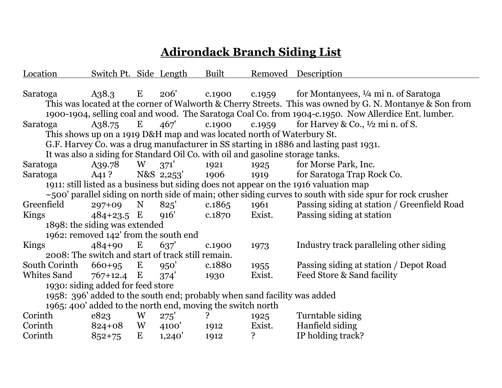## **Adirondack Branch Siding List**

| Location                                                                                                        | Switch Pt. Side Length |             |            | Built  |        | Removed Description                                                                                      |  |
|-----------------------------------------------------------------------------------------------------------------|------------------------|-------------|------------|--------|--------|----------------------------------------------------------------------------------------------------------|--|
|                                                                                                                 |                        |             |            |        |        |                                                                                                          |  |
| Saratoga                                                                                                        | A38.3                  | E           | 206'       |        |        | c.1900 c.1959 for Montanyees, $\frac{1}{4}$ min. of Saratoga                                             |  |
|                                                                                                                 |                        |             |            |        |        | This was located at the corner of Walworth & Cherry Streets. This was owned by G. N. Montanye & Son from |  |
| 1900-1904, selling coal and wood. The Saratoga Coal Co. from 1904-c.1950. Now Allerdice Ent. lumber.            |                        |             |            |        |        |                                                                                                          |  |
| Saratoga                                                                                                        | A38.75                 | E           | 467'       | c.1900 | c.1959 | for Harvey & Co., $\frac{1}{2}$ mi n. of S.                                                              |  |
| This shows up on a 1919 D&H map and was located north of Waterbury St.                                          |                        |             |            |        |        |                                                                                                          |  |
| G.F. Harvey Co. was a drug manufacturer in SS starting in 1886 and lasting past 1931.                           |                        |             |            |        |        |                                                                                                          |  |
|                                                                                                                 |                        |             |            |        |        | It was also a siding for Standard Oil Co. with oil and gasoline storage tanks.                           |  |
| Saratoga                                                                                                        | A39.78                 | W           | 371'       | 1921   | 1925   | for Morse Park, Inc.                                                                                     |  |
| Saratoga                                                                                                        | A41 ?                  |             | N&S 2,253' | 1906   | 1919   | for Saratoga Trap Rock Co.                                                                               |  |
| 1911: still listed as a business but siding does not appear on the 1916 valuation map                           |                        |             |            |        |        |                                                                                                          |  |
| $\sim$ 500' parallel siding on north side of main; other siding curves to south with side spur for rock crusher |                        |             |            |        |        |                                                                                                          |  |
| Greenfield                                                                                                      | $297+09$               | $\mathbf N$ | 825'       | c.1865 | 1961   | Passing siding at station / Greenfield Road                                                              |  |
| Kings                                                                                                           | $484+23.5$ E           |             | 916'       | c.1870 | Exist. | Passing siding at station                                                                                |  |
| 1898: the siding was extended                                                                                   |                        |             |            |        |        |                                                                                                          |  |
| 1962: removed 142' from the south end                                                                           |                        |             |            |        |        |                                                                                                          |  |
| Kings                                                                                                           | $484+90$               | E           | 637'       | c.1900 | 1973   | Industry track paralleling other siding                                                                  |  |
| 2008: The switch and start of track still remain.                                                               |                        |             |            |        |        |                                                                                                          |  |
| South Corinth                                                                                                   | $660+95$ E             |             | 950'       | c.1880 | 1955   | Passing siding at station / Depot Road                                                                   |  |
| Whites Sand                                                                                                     | $767+12.4$ E           |             | 374'       | 1930   | Exist. | Feed Store & Sand facility                                                                               |  |
| 1930: siding added for feed store                                                                               |                        |             |            |        |        |                                                                                                          |  |
| 1958: 396' added to the south end; probably when sand facility was added                                        |                        |             |            |        |        |                                                                                                          |  |
| 1965: 400' added to the north end, moving the switch north                                                      |                        |             |            |        |        |                                                                                                          |  |
| Corinth                                                                                                         | e823                   | W           | 275'       | ?ِ     | 1925   | Turntable siding                                                                                         |  |
| Corinth                                                                                                         | $824+08$               | W           | 4100'      | 1912   | Exist. | Hanfield siding                                                                                          |  |
| Corinth                                                                                                         | $852 + 75$             | E           | 1,240'     | 1912   | ?      | IP holding track?                                                                                        |  |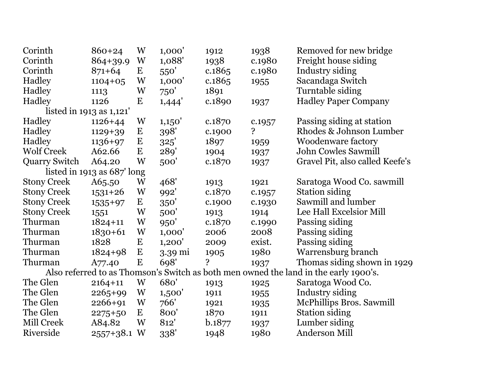| Corinth                                                                              | 860+24                   | W         | 1,000'            | 1912   | 1938         | Removed for new bridge          |  |  |  |
|--------------------------------------------------------------------------------------|--------------------------|-----------|-------------------|--------|--------------|---------------------------------|--|--|--|
| Corinth                                                                              | 864+39.9                 | W         | 1,088'            | 1938   | c.1980       | Freight house siding            |  |  |  |
| Corinth                                                                              | $871+64$                 | E         | 550'              | c.1865 | c.1980       | Industry siding                 |  |  |  |
| Hadley                                                                               | $1104 + 05$              | W         | 1,000'            | c.1865 | 1955         | Sacandaga Switch                |  |  |  |
| Hadley                                                                               | 1113                     | W         | 750'              | 1891   |              | Turntable siding                |  |  |  |
| Hadley                                                                               | 1126                     | E         | 1,444'            | c.1890 | 1937         | <b>Hadley Paper Company</b>     |  |  |  |
|                                                                                      | listed in 1913 as 1,121' |           |                   |        |              |                                 |  |  |  |
| Hadley                                                                               | $1126 + 44$              | W         | 1,150'            | c.1870 | c.1957       | Passing siding at station       |  |  |  |
| Hadley                                                                               | $1129 + 39$              | E         | 398'              | c.1900 | $\mathbf{S}$ | Rhodes & Johnson Lumber         |  |  |  |
| Hadley                                                                               | $1136+97$                | $\bf E$   | 325'              | 1897   | 1959         | <b>Woodenware factory</b>       |  |  |  |
| <b>Wolf Creek</b>                                                                    | A62.66                   | $\bf E$   | 289'              | 1904   | 1937         | <b>John Cowles Sawmill</b>      |  |  |  |
| <b>Quarry Switch</b>                                                                 | A64.20                   | W         | 500'              | c.1870 | 1937         | Gravel Pit, also called Keefe's |  |  |  |
| listed in 1913 as 687' long                                                          |                          |           |                   |        |              |                                 |  |  |  |
| <b>Stony Creek</b>                                                                   | A65.50                   | W         | 468'              | 1913   | 1921         | Saratoga Wood Co. sawmill       |  |  |  |
| <b>Stony Creek</b>                                                                   | $1531+26$                | W         | 992'              | c.1870 | c.1957       | <b>Station siding</b>           |  |  |  |
| <b>Stony Creek</b>                                                                   | 1535+97                  | $\bf E$   | 350'              | c.1900 | c.1930       | Sawmill and lumber              |  |  |  |
| <b>Stony Creek</b>                                                                   | 1551                     | W         | 500'              | 1913   | 1914         | Lee Hall Excelsior Mill         |  |  |  |
| Thurman                                                                              | $1824 + 11$              | W         | 950'              | c.1870 | c.1990       | Passing siding                  |  |  |  |
| Thurman                                                                              | $1830 + 61$              | W         | 1,000'            | 2006   | 2008         | Passing siding                  |  |  |  |
| Thurman                                                                              | 1828                     | E         | 1,200'            | 2009   | exist.       | Passing siding                  |  |  |  |
| Thurman                                                                              | $1824 + 98$              | E         | $3.39 \text{ mi}$ | 1905   | 1980         | Warrensburg branch              |  |  |  |
| Thurman                                                                              | A77.40                   | ${\bf E}$ | 698'              | ?      | 1937         | Thomas siding shown in 1929     |  |  |  |
| Also referred to as Thomson's Switch as both men owned the land in the early 1900's. |                          |           |                   |        |              |                                 |  |  |  |
| The Glen                                                                             | $2164 + 11$              | W         | 680'              | 1913   | 1925         | Saratoga Wood Co.               |  |  |  |
| The Glen                                                                             | $2265+99$                | W         | 1,500'            | 1911   | 1955         | Industry siding                 |  |  |  |
| The Glen                                                                             | $2266 + 91$              | W         | 766'              | 1921   | 1935         | McPhillips Bros. Sawmill        |  |  |  |
| The Glen                                                                             | $2275+50$                | $\bf E$   | 800'              | 1870   | 1911         | <b>Station siding</b>           |  |  |  |
| Mill Creek                                                                           | A84.82                   | W         | 812'              | b.1877 | 1937         | Lumber siding                   |  |  |  |
| Riverside                                                                            | 2557+38.1 W              |           | 338'              | 1948   | 1980         | <b>Anderson Mill</b>            |  |  |  |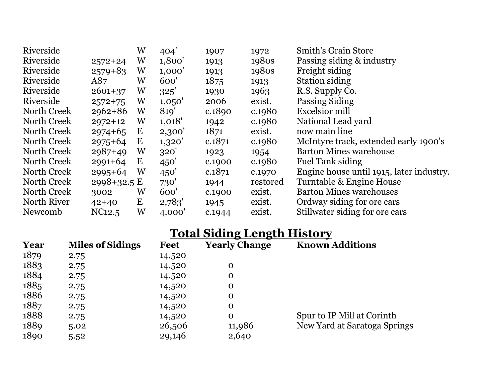| Riverside   |             | W        | 404'   | 1907   | 1972     | <b>Smith's Grain Store</b>               |
|-------------|-------------|----------|--------|--------|----------|------------------------------------------|
| Riverside   | $2572+24$   | W        | 1,800' | 1913   | 1980s    | Passing siding & industry                |
| Riverside   | $2579 + 83$ | W        | 1,000' | 1913   | 1980s    | Freight siding                           |
| Riverside   | A87         | W        | 600'   | 1875   | 1913     | <b>Station siding</b>                    |
| Riverside   | $2601+37$   | W        | 325'   | 1930   | 1963     | R.S. Supply Co.                          |
| Riverside   | $2572 + 75$ | W        | 1,050' | 2006   | exist.   | Passing Siding                           |
| North Creek | $2962 + 86$ | W        | 819'   | c.1890 | c.1980   | Excelsior mill                           |
| North Creek | $2972+12$   | W        | 1,018' | 1942   | c.1980   | National Lead yard                       |
| North Creek | $2974+65$   | $\bf{E}$ | 2,300' | 1871   | exist.   | now main line                            |
| North Creek | $2975 + 64$ | $\bf E$  | 1,320' | c.1871 | c.1980   | McIntyre track, extended early 1900's    |
| North Creek | $2987+49$   | W        | 320'   | 1923   | 1954     | <b>Barton Mines warehouse</b>            |
| North Creek | $2991 + 64$ | E        | 450'   | c.1900 | c.1980   | <b>Fuel Tank siding</b>                  |
| North Creek | $2995+64$   | W        | 450'   | c.1871 | c.1970   | Engine house until 1915, later industry. |
| North Creek | 2998+32.5 E |          | 730'   | 1944   | restored | Turntable & Engine House                 |
| North Creek | 3002        | W        | 600'   | c.1900 | exist.   | <b>Barton Mines warehouses</b>           |
| North River | $42+40$     | $\bf E$  | 2,783' | 1945   | exist.   | Ordway siding for ore cars               |
| Newcomb     | NC12.5      | W        | 4,000' | c.1944 | exist.   | Stillwater siding for ore cars           |

## **Total Siding Length History**

| Year | <b>Miles of Sidings</b> | <b>Feet</b> | <b>Yearly Change</b> | <b>Known Additions</b>       |
|------|-------------------------|-------------|----------------------|------------------------------|
| 1879 | 2.75                    | 14,520      |                      |                              |
| 1883 | 2.75                    | 14,520      | O                    |                              |
| 1884 | 2.75                    | 14,520      | $\mathbf 0$          |                              |
| 1885 | 2.75                    | 14,520      | $\mathbf O$          |                              |
| 1886 | 2.75                    | 14,520      | $\mathbf O$          |                              |
| 1887 | 2.75                    | 14,520      | $\mathbf 0$          |                              |
| 1888 | 2.75                    | 14,520      | $\mathbf 0$          | Spur to IP Mill at Corinth   |
| 1889 | 5.02                    | 26,506      | 11,986               | New Yard at Saratoga Springs |
| 1890 | 5.52                    | 29,146      | 2,640                |                              |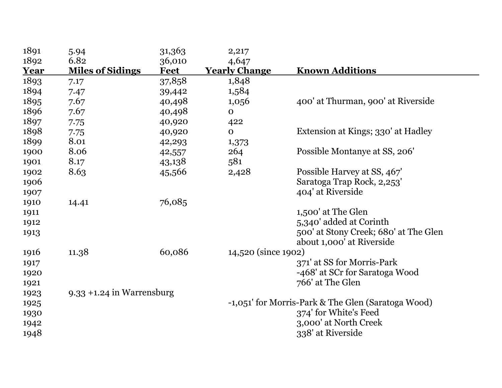| 1891        | 5.94                         | 31,363      | 2,217                |                                                    |
|-------------|------------------------------|-------------|----------------------|----------------------------------------------------|
| 1892        | 6.82                         | 36,010      | 4,647                |                                                    |
| <b>Year</b> | <b>Miles of Sidings</b>      | <b>Feet</b> | <b>Yearly Change</b> | <b>Known Additions</b>                             |
| 1893        | 7.17                         | 37,858      | 1,848                |                                                    |
| 1894        | 7.47                         | 39,442      | 1,584                |                                                    |
| 1895        | 7.67                         | 40,498      | 1,056                | 400' at Thurman, 900' at Riverside                 |
| 1896        | 7.67                         | 40,498      | $\mathbf{O}$         |                                                    |
| 1897        | 7.75                         | 40,920      | 422                  |                                                    |
| 1898        | 7.75                         | 40,920      | $\mathbf{O}$         | Extension at Kings; 330' at Hadley                 |
| 1899        | 8.01                         | 42,293      | 1,373                |                                                    |
| 1900        | 8.06                         | 42,557      | 264                  | Possible Montanye at SS, 206'                      |
| 1901        | 8.17                         | 43,138      | 581                  |                                                    |
| 1902        | 8.63                         | 45,566      | 2,428                | Possible Harvey at SS, 467'                        |
| 1906        |                              |             |                      | Saratoga Trap Rock, 2,253'                         |
| 1907        |                              |             |                      | 404' at Riverside                                  |
| 1910        | 14.41                        | 76,085      |                      |                                                    |
| 1911        |                              |             |                      | 1,500' at The Glen                                 |
| 1912        |                              |             |                      | 5,340' added at Corinth                            |
| 1913        |                              |             |                      | 500' at Stony Creek; 680' at The Glen              |
|             |                              |             |                      | about 1,000' at Riverside                          |
| 1916        | 11.38                        | 60,086      | 14,520 (since 1902)  |                                                    |
| 1917        |                              |             |                      | 371' at SS for Morris-Park                         |
| 1920        |                              |             |                      | -468' at SCr for Saratoga Wood                     |
| 1921        |                              |             |                      | 766' at The Glen                                   |
| 1923        | $9.33 + 1.24$ in Warrensburg |             |                      |                                                    |
| 1925        |                              |             |                      | -1,051' for Morris-Park & The Glen (Saratoga Wood) |
| 1930        |                              |             |                      | 374' for White's Feed                              |
| 1942        |                              |             |                      | 3,000' at North Creek                              |
| 1948        |                              |             |                      | 338' at Riverside                                  |